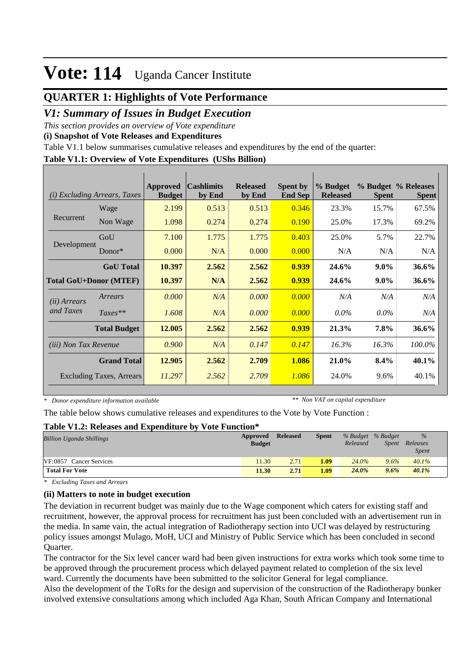### **QUARTER 1: Highlights of Vote Performance**

### *V1: Summary of Issues in Budget Execution*

*This section provides an overview of Vote expenditure* 

**(i) Snapshot of Vote Releases and Expenditures**

Table V1.1 below summarises cumulative releases and expenditures by the end of the quarter:

### **Table V1.1: Overview of Vote Expenditures (UShs Billion)**

| (i)                          | <i>Excluding Arrears, Taxes</i> | <b>Approved</b><br><b>Budget</b> | <b>Cashlimits</b><br>by End | <b>Released</b><br>by End | <b>Spent by</b><br><b>End Sep</b> | % Budget<br><b>Released</b> | <b>Spent</b> | % Budget % Releases<br><b>Spent</b> |
|------------------------------|---------------------------------|----------------------------------|-----------------------------|---------------------------|-----------------------------------|-----------------------------|--------------|-------------------------------------|
|                              | Wage                            | 2.199                            | 0.513                       | 0.513                     | 0.346                             | 23.3%                       | 15.7%        | 67.5%                               |
| Recurrent                    | Non Wage                        | 1.098                            | 0.274                       | 0.274                     | 0.190                             | 25.0%                       | 17.3%        | 69.2%                               |
|                              | GoU                             | 7.100                            | 1.775                       | 1.775                     | 0.403                             | 25.0%                       | 5.7%         | 22.7%                               |
| Development                  | $Donor*$                        | 0.000                            | N/A                         | 0.000                     | 0.000                             | N/A                         | N/A          | N/A                                 |
|                              | <b>GoU</b> Total                | 10.397                           | 2.562                       | 2.562                     | 0.939                             | 24.6%                       | $9.0\%$      | 36.6%                               |
|                              | <b>Total GoU+Donor (MTEF)</b>   | 10.397                           | N/A                         | 2.562                     | 0.939                             | 24.6%                       | $9.0\%$      | 36.6%                               |
| ( <i>ii</i> ) Arrears        | Arrears                         | 0.000                            | N/A                         | 0.000                     | 0.000                             | N/A                         | N/A          | N/A                                 |
| and Taxes                    | $Taxes**$                       | 1.608                            | N/A                         | 0.000                     | 0.000                             | $0.0\%$                     | $0.0\%$      | N/A                                 |
|                              | <b>Total Budget</b>             | 12.005                           | 2.562                       | 2.562                     | 0.939                             | 21.3%                       | 7.8%         | 36.6%                               |
| <i>(iii)</i> Non Tax Revenue |                                 | 0.900                            | N/A                         | 0.147                     | 0.147                             | 16.3%                       | 16.3%        | 100.0%                              |
|                              | <b>Grand Total</b>              | 12.905                           | 2.562                       | 2.709                     | 1.086                             | 21.0%                       | $8.4\%$      | 40.1%                               |
|                              | <b>Excluding Taxes, Arrears</b> | 11.297                           | 2.562                       | 2.709                     | 1.086                             | 24.0%                       | 9.6%         | 40.1%                               |

*\* Donor expenditure information available*

*\*\* Non VAT on capital expenditure*

The table below shows cumulative releases and expenditures to the Vote by Vote Function :

#### **Table V1.2: Releases and Expenditure by Vote Function\***

| <b>Billion Uganda Shillings</b> | Approved<br><b>Budget</b> | <b>Released</b> | <b>Spent</b> | % Budget % Budget<br>Released | <i>Spent</i> | $\%$<br>Releases<br><i>Spent</i> |  |
|---------------------------------|---------------------------|-----------------|--------------|-------------------------------|--------------|----------------------------------|--|
| VF:0857 Cancer Services         | 11.30                     | 2.71            | 1.09         | 24.0%                         | 9.6%         | 40.1%                            |  |
| <b>Total For Vote</b>           | 11.30                     | 2.71            | 1.09         | 24.0%                         | $9.6\%$      | 40.1%                            |  |

*\* Excluding Taxes and Arrears*

### **(ii) Matters to note in budget execution**

The deviation in recurrent budget was mainly due to the Wage component which caters for existing staff and recruitment, however, the approval process for recruitment has just been concluded with an advertisement run in the media. In same vain, the actual integration of Radiotherapy section into UCI was delayed by restructuring policy issues amongst Mulago, MoH, UCI and Ministry of Public Service which has been concluded in second Quarter.

The contractor for the Six level cancer ward had been given instructions for extra works which took some time to be approved through the procurement process which delayed payment related to completion of the six level ward. Currently the documents have been submitted to the solicitor General for legal compliance.

Also the development of the ToRs for the design and supervision of the construction of the Radiotherapy bunker involved extensive consultations among which included Aga Khan, South African Company and International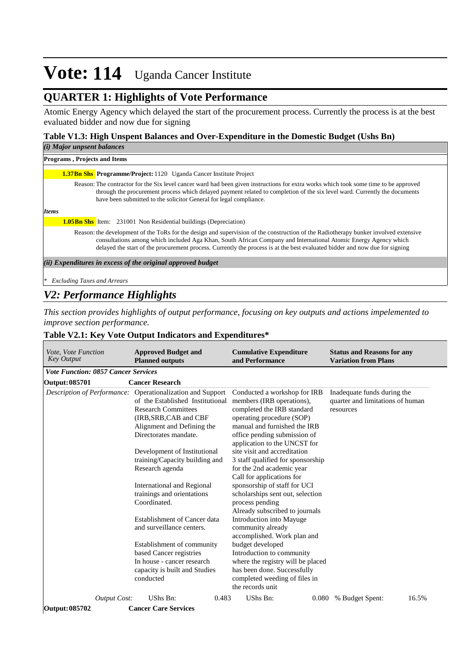## **QUARTER 1: Highlights of Vote Performance**

Atomic Energy Agency which delayed the start of the procurement process. Currently the process is at the best evaluated bidder and now due for signing

### **Table V1.3: High Unspent Balances and Over-Expenditure in the Domestic Budget (Ushs Bn)**

| (i) Major unpsent balances                                                                                                                                                                                                                                                                                                                                                             |
|----------------------------------------------------------------------------------------------------------------------------------------------------------------------------------------------------------------------------------------------------------------------------------------------------------------------------------------------------------------------------------------|
| <b>Programs, Projects and Items</b>                                                                                                                                                                                                                                                                                                                                                    |
| <b>1.37Bn Shs. Programme/Project:</b> 1120 Uganda Cancer Institute Project                                                                                                                                                                                                                                                                                                             |
| Reason: The contractor for the Six level cancer ward had been given instructions for extra works which took some time to be approved<br>through the procurement process which delayed payment related to completion of the six level ward. Currently the documents<br>have been submitted to the solicitor General for legal compliance.                                               |
| <b>Items</b>                                                                                                                                                                                                                                                                                                                                                                           |
| <b>1.05Bn Shs</b> Item: 231001 Non Residential buildings (Depreciation)                                                                                                                                                                                                                                                                                                                |
| Reason: the development of the ToRs for the design and supervision of the construction of the Radiotherapy bunker involved extensive<br>consultations among which included Aga Khan, South African Company and International Atomic Energy Agency which<br>delayed the start of the procurement process. Currently the process is at the best evaluated bidder and now due for signing |
| (ii) Expenditures in excess of the original approved budget                                                                                                                                                                                                                                                                                                                            |
| <b>Excluding Taxes and Arrears</b>                                                                                                                                                                                                                                                                                                                                                     |

## *V2: Performance Highlights*

*This section provides highlights of output performance, focusing on key outputs and actions impelemented to improve section performance.*

### **Table V2.1: Key Vote Output Indicators and Expenditures\***

| <i>Vote, Vote Function</i><br><b>Key Output</b> | <b>Approved Budget and</b><br><b>Planned outputs</b>                                                                                                                                                                                                                                                                                                                                                                                                                                                                                                                                    | <b>Cumulative Expenditure</b><br>and Performance                                                                                                                                                                                                                                                                                                                                                                                                                                                                                                                                                                                                                                                                                              | <b>Status and Reasons for any</b><br><b>Variation from Plans</b>             |
|-------------------------------------------------|-----------------------------------------------------------------------------------------------------------------------------------------------------------------------------------------------------------------------------------------------------------------------------------------------------------------------------------------------------------------------------------------------------------------------------------------------------------------------------------------------------------------------------------------------------------------------------------------|-----------------------------------------------------------------------------------------------------------------------------------------------------------------------------------------------------------------------------------------------------------------------------------------------------------------------------------------------------------------------------------------------------------------------------------------------------------------------------------------------------------------------------------------------------------------------------------------------------------------------------------------------------------------------------------------------------------------------------------------------|------------------------------------------------------------------------------|
| <b>Vote Function: 0857 Cancer Services</b>      |                                                                                                                                                                                                                                                                                                                                                                                                                                                                                                                                                                                         |                                                                                                                                                                                                                                                                                                                                                                                                                                                                                                                                                                                                                                                                                                                                               |                                                                              |
| Output: 085701                                  | <b>Cancer Research</b>                                                                                                                                                                                                                                                                                                                                                                                                                                                                                                                                                                  |                                                                                                                                                                                                                                                                                                                                                                                                                                                                                                                                                                                                                                                                                                                                               |                                                                              |
|                                                 | <i>Description of Performance:</i> Operationalization and Support<br>of the Established Institutional<br><b>Research Committees</b><br>(IRB, SRB, CAB and CBF<br>Alignment and Defining the<br>Directorates mandate.<br>Development of Institutional<br>training/Capacity building and<br>Research agenda<br>International and Regional<br>trainings and orientations<br>Coordinated.<br>Establishment of Cancer data<br>and surveillance centers.<br>Establishment of community<br>based Cancer registries<br>In house - cancer research<br>capacity is built and Studies<br>conducted | Conducted a workshop for IRB<br>members (IRB operations),<br>completed the IRB standard<br>operating procedure (SOP)<br>manual and furnished the IRB<br>office pending submission of<br>application to the UNCST for<br>site visit and accreditation<br>3 staff qualified for sponsorship<br>for the 2nd academic year<br>Call for applications for<br>sponsorship of staff for UCI<br>scholarships sent out, selection<br>process pending<br>Already subscribed to journals<br><b>Introduction into Mayuge</b><br>community already<br>accomplished. Work plan and<br>budget developed<br>Introduction to community<br>where the registry will be placed<br>has been done. Successfully<br>completed weeding of files in<br>the records unit | Inadequate funds during the<br>quarter and limitations of human<br>resources |
| <b>Output Cost:</b><br>Output: 085702           | UShs Bn:<br>0.483<br><b>Cancer Care Services</b>                                                                                                                                                                                                                                                                                                                                                                                                                                                                                                                                        | UShs Bn:<br>0.080                                                                                                                                                                                                                                                                                                                                                                                                                                                                                                                                                                                                                                                                                                                             | 16.5%<br>% Budget Spent:                                                     |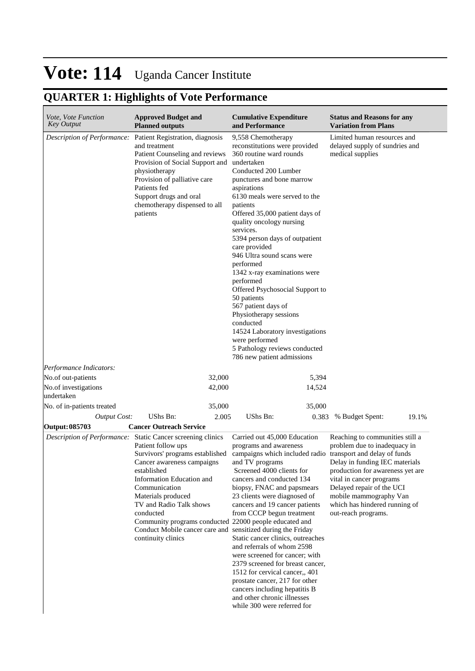# **QUARTER 1: Highlights of Vote Performance**

| Vote, Vote Function<br><b>Key Output</b> | <b>Approved Budget and</b><br><b>Planned outputs</b>                                                                                                                                                                                                                                                                                                                                                                         | <b>Cumulative Expenditure</b><br>and Performance                                                                                                                                                                                                                                                                                                                                                                                                                                                                                                                                                                                                                        | <b>Status and Reasons for any</b><br><b>Variation from Plans</b>                                                                                                                                                                                                                 |
|------------------------------------------|------------------------------------------------------------------------------------------------------------------------------------------------------------------------------------------------------------------------------------------------------------------------------------------------------------------------------------------------------------------------------------------------------------------------------|-------------------------------------------------------------------------------------------------------------------------------------------------------------------------------------------------------------------------------------------------------------------------------------------------------------------------------------------------------------------------------------------------------------------------------------------------------------------------------------------------------------------------------------------------------------------------------------------------------------------------------------------------------------------------|----------------------------------------------------------------------------------------------------------------------------------------------------------------------------------------------------------------------------------------------------------------------------------|
| Description of Performance:              | Patient Registration, diagnosis<br>and treatment<br>Patient Counseling and reviews<br>Provision of Social Support and<br>physiotherapy<br>Provision of palliative care<br>Patients fed<br>Support drugs and oral<br>chemotherapy dispensed to all<br>patients                                                                                                                                                                | 9,558 Chemotherapy<br>reconstitutions were provided<br>360 routine ward rounds<br>undertaken<br>Conducted 200 Lumber<br>punctures and bone marrow<br>aspirations<br>6130 meals were served to the<br>patients<br>Offered 35,000 patient days of<br>quality oncology nursing<br>services.<br>5394 person days of outpatient<br>care provided<br>946 Ultra sound scans were<br>performed<br>1342 x-ray examinations were<br>performed<br>Offered Psychosocial Support to<br>50 patients<br>567 patient days of<br>Physiotherapy sessions<br>conducted<br>14524 Laboratory investigations<br>were performed<br>5 Pathology reviews conducted<br>786 new patient admissions | Limited human resources and<br>delayed supply of sundries and<br>medical supplies                                                                                                                                                                                                |
| Performance Indicators:                  |                                                                                                                                                                                                                                                                                                                                                                                                                              |                                                                                                                                                                                                                                                                                                                                                                                                                                                                                                                                                                                                                                                                         |                                                                                                                                                                                                                                                                                  |
| No.of out-patients                       | 32,000                                                                                                                                                                                                                                                                                                                                                                                                                       | 5,394                                                                                                                                                                                                                                                                                                                                                                                                                                                                                                                                                                                                                                                                   |                                                                                                                                                                                                                                                                                  |
| No.of investigations<br>undertaken       | 42,000                                                                                                                                                                                                                                                                                                                                                                                                                       | 14,524                                                                                                                                                                                                                                                                                                                                                                                                                                                                                                                                                                                                                                                                  |                                                                                                                                                                                                                                                                                  |
| No. of in-patients treated               | 35,000                                                                                                                                                                                                                                                                                                                                                                                                                       | 35,000                                                                                                                                                                                                                                                                                                                                                                                                                                                                                                                                                                                                                                                                  |                                                                                                                                                                                                                                                                                  |
| <b>Output Cost:</b>                      | UShs Bn:<br>2.005                                                                                                                                                                                                                                                                                                                                                                                                            | <b>UShs Bn:</b><br>0.383                                                                                                                                                                                                                                                                                                                                                                                                                                                                                                                                                                                                                                                | % Budget Spent:<br>19.1%                                                                                                                                                                                                                                                         |
| Output: 085703                           | <b>Cancer Outreach Service</b>                                                                                                                                                                                                                                                                                                                                                                                               |                                                                                                                                                                                                                                                                                                                                                                                                                                                                                                                                                                                                                                                                         |                                                                                                                                                                                                                                                                                  |
|                                          | Description of Performance: Static Cancer screening clinics<br>Patient follow ups<br>Survivors' programs established<br>Cancer awareness campaigns<br>established<br>Information Education and<br>Communication<br>Materials produced<br>TV and Radio Talk shows<br>conducted<br>Community programs conducted 22000 people educated and<br>Conduct Mobile cancer care and sensitized during the Friday<br>continuity clinics | Carried out 45,000 Education<br>programs and awareness<br>campaigns which included radio transport and delay of funds<br>and TV programs<br>Screened 4000 clients for<br>cancers and conducted 134<br>biopsy, FNAC and papsmears<br>23 clients were diagnosed of<br>cancers and 19 cancer patients<br>from CCCP begun treatment<br>Static cancer clinics, outreaches<br>and referrals of whom 2598<br>were screened for cancer; with<br>2379 screened for breast cancer,<br>1512 for cervical cancer,, 401<br>prostate cancer, 217 for other<br>cancers including hepatitis B<br>and other chronic illnesses<br>while 300 were referred for                             | Reaching to communities still a<br>problem due to inadequacy in<br>Delay in funding IEC materials<br>production for awareness yet are<br>vital in cancer programs<br>Delayed repair of the UCI<br>mobile mammography Van<br>which has hindered running of<br>out-reach programs. |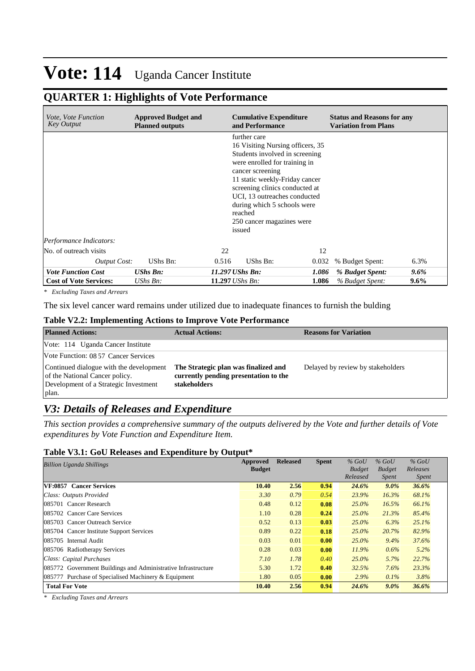## **QUARTER 1: Highlights of Vote Performance**

| <i>Vote, Vote Function</i><br>Key Output | <b>Approved Budget and</b><br><b>Planned outputs</b> |                        | <b>Cumulative Expenditure</b><br>and Performance                                                                                                                                                                                                                                                                             |       | <b>Status and Reasons for any</b><br><b>Variation from Plans</b> |         |
|------------------------------------------|------------------------------------------------------|------------------------|------------------------------------------------------------------------------------------------------------------------------------------------------------------------------------------------------------------------------------------------------------------------------------------------------------------------------|-------|------------------------------------------------------------------|---------|
|                                          |                                                      |                        | further care<br>16 Visiting Nursing officers, 35<br>Students involved in screening<br>were enrolled for training in<br>cancer screening<br>11 static weekly-Friday cancer<br>screening clinics conducted at<br>UCI, 13 outreaches conducted<br>during which 5 schools were<br>reached<br>250 cancer magazines were<br>issued |       |                                                                  |         |
| Performance Indicators:                  |                                                      |                        |                                                                                                                                                                                                                                                                                                                              |       |                                                                  |         |
| No. of outreach visits                   |                                                      | 22                     |                                                                                                                                                                                                                                                                                                                              | 12    |                                                                  |         |
| <b>Output Cost:</b>                      | UShs Bn:                                             | 0.516                  | UShs Bn:                                                                                                                                                                                                                                                                                                                     | 0.032 | % Budget Spent:                                                  | 6.3%    |
| <b>Vote Function Cost</b>                | <b>UShs Bn:</b>                                      |                        | 11.297 UShs Bn:                                                                                                                                                                                                                                                                                                              | 1.086 | % Budget Spent:                                                  | $9.6\%$ |
| <b>Cost of Vote Services:</b>            | UShs $Bn$ :                                          | 11.297 <i>UShs Bn:</i> |                                                                                                                                                                                                                                                                                                                              | 1.086 | % Budget Spent:                                                  | 9.6%    |

*\* Excluding Taxes and Arrears*

The six level cancer ward remains under utilized due to inadequate finances to furnish the bulding

### **Table V2.2: Implementing Actions to Improve Vote Performance**

| <b>Planned Actions:</b>                                                                                                     | <b>Actual Actions:</b>                                                                        | <b>Reasons for Variation</b>      |
|-----------------------------------------------------------------------------------------------------------------------------|-----------------------------------------------------------------------------------------------|-----------------------------------|
| Vote: 114 Uganda Cancer Institute                                                                                           |                                                                                               |                                   |
| Vote Function: 08 57 Cancer Services                                                                                        |                                                                                               |                                   |
| Continued dialogue with the development<br>of the National Cancer policy.<br>Development of a Strategic Investment<br>plan. | The Strategic plan was finalized and<br>currently pending presentation to the<br>stakeholders | Delayed by review by stakeholders |

### *V3: Details of Releases and Expenditure*

*This section provides a comprehensive summary of the outputs delivered by the Vote and further details of Vote expenditures by Vote Function and Expenditure Item.*

### **Table V3.1: GoU Releases and Expenditure by Output\***

| Billion Uganda Shillings                                      | Approved      | <b>Released</b> | <b>Spent</b> | $%$ GoU       | $%$ GoU       | $%$ GoU      |
|---------------------------------------------------------------|---------------|-----------------|--------------|---------------|---------------|--------------|
|                                                               | <b>Budget</b> |                 |              | <b>Budget</b> | <b>Budget</b> | Releases     |
|                                                               |               |                 |              | Released      | <i>Spent</i>  | <i>Spent</i> |
| <b>VF:0857 Cancer Services</b>                                | 10.40         | 2.56            | 0.94         | 24.6%         | $9.0\%$       | 36.6%        |
| Class: Outputs Provided                                       | 3.30          | 0.79            | 0.54         | 23.9%         | 16.3%         | 68.1%        |
| 085701 Cancer Research                                        | 0.48          | 0.12            | 0.08         | $25.0\%$      | 16.5%         | 66.1%        |
| 085702 Cancer Care Services                                   | 1.10          | 0.28            | 0.24         | 25.0%         | 21.3%         | 85.4%        |
| 085703 Cancer Outreach Service                                | 0.52          | 0.13            | 0.03         | $25.0\%$      | 6.3%          | 25.1%        |
| 085704 Cancer Institute Support Services                      | 0.89          | 0.22            | 0.18         | $25.0\%$      | 20.7%         | 82.9%        |
| 085705 Internal Audit                                         | 0.03          | 0.01            | 0.00         | 25.0%         | 9.4%          | 37.6%        |
| 085706 Radiotherapy Services                                  | 0.28          | 0.03            | 0.00         | 11.9%         | 0.6%          | 5.2%         |
| Class: Capital Purchases                                      | 7.10          | 1.78            | 0.40         | 25.0%         | 5.7%          | 22.7%        |
| 085772 Government Buildings and Administrative Infrastructure | 5.30          | 1.72            | 0.40         | 32.5%         | 7.6%          | 23.3%        |
| 085777 Purchase of Specialised Machinery & Equipment          | 1.80          | 0.05            | $\bf{0.00}$  | 2.9%          | $0.1\%$       | 3.8%         |
| <b>Total For Vote</b>                                         | 10.40         | 2.56            | 0.94         | 24.6%         | $9.0\%$       | 36.6%        |

*\* Excluding Taxes and Arrears*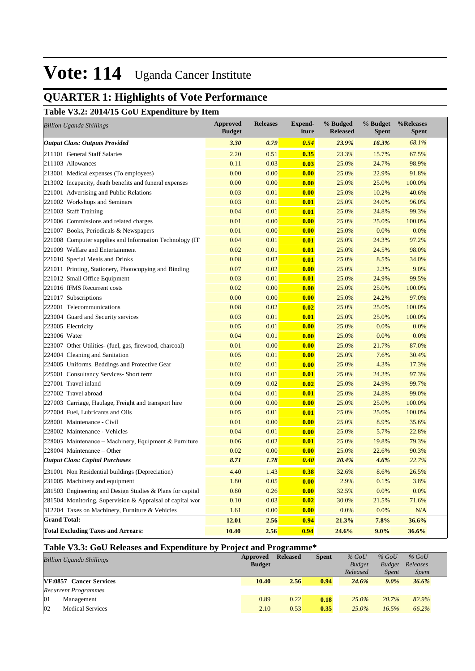## **QUARTER 1: Highlights of Vote Performance**

**Table V3.2: 2014/15 GoU Expenditure by Item**

| <b>Billion Uganda Shillings</b>                           | <b>Approved</b><br><b>Budget</b> | <b>Releases</b> | <b>Expend-</b><br>iture | % Budged<br><b>Released</b> | % Budget<br><b>Spent</b> | %Releases<br><b>Spent</b> |
|-----------------------------------------------------------|----------------------------------|-----------------|-------------------------|-----------------------------|--------------------------|---------------------------|
| <b>Output Class: Outputs Provided</b>                     | 3.30                             | 0.79            | 0.54                    | 23.9%                       | 16.3%                    | 68.1%                     |
| 211101 General Staff Salaries                             | 2.20                             | 0.51            | 0.35                    | 23.3%                       | 15.7%                    | 67.5%                     |
| 211103 Allowances                                         | 0.11                             | 0.03            | 0.03                    | 25.0%                       | 24.7%                    | 98.9%                     |
| 213001 Medical expenses (To employees)                    | 0.00                             | 0.00            | 0.00                    | 25.0%                       | 22.9%                    | 91.8%                     |
| 213002 Incapacity, death benefits and funeral expenses    | 0.00                             | 0.00            | 0.00                    | 25.0%                       | 25.0%                    | 100.0%                    |
| 221001 Advertising and Public Relations                   | 0.03                             | 0.01            | 0.00                    | 25.0%                       | 10.2%                    | 40.6%                     |
| 221002 Workshops and Seminars                             | 0.03                             | 0.01            | 0.01                    | 25.0%                       | 24.0%                    | 96.0%                     |
| 221003 Staff Training                                     | 0.04                             | 0.01            | 0.01                    | 25.0%                       | 24.8%                    | 99.3%                     |
| 221006 Commissions and related charges                    | 0.01                             | 0.00            | 0.00                    | 25.0%                       | 25.0%                    | 100.0%                    |
| 221007 Books, Periodicals & Newspapers                    | 0.01                             | 0.00            | 0.00                    | 25.0%                       | 0.0%                     | 0.0%                      |
| 221008 Computer supplies and Information Technology (IT)  | 0.04                             | 0.01            | 0.01                    | 25.0%                       | 24.3%                    | 97.2%                     |
| 221009 Welfare and Entertainment                          | 0.02                             | 0.01            | 0.01                    | 25.0%                       | 24.5%                    | 98.0%                     |
| 221010 Special Meals and Drinks                           | 0.08                             | 0.02            | 0.01                    | 25.0%                       | 8.5%                     | 34.0%                     |
| 221011 Printing, Stationery, Photocopying and Binding     | 0.07                             | 0.02            | 0.00                    | 25.0%                       | 2.3%                     | 9.0%                      |
| 221012 Small Office Equipment                             | 0.03                             | 0.01            | 0.01                    | 25.0%                       | 24.9%                    | 99.5%                     |
| 221016 IFMS Recurrent costs                               | 0.02                             | 0.00            | 0.00                    | 25.0%                       | 25.0%                    | 100.0%                    |
| 221017 Subscriptions                                      | 0.00                             | 0.00            | 0.00                    | 25.0%                       | 24.2%                    | 97.0%                     |
| 222001 Telecommunications                                 | 0.08                             | 0.02            | 0.02                    | 25.0%                       | 25.0%                    | 100.0%                    |
| 223004 Guard and Security services                        | 0.03                             | 0.01            | 0.01                    | 25.0%                       | 25.0%                    | 100.0%                    |
| 223005 Electricity                                        | 0.05                             | 0.01            | 0.00                    | 25.0%                       | 0.0%                     | 0.0%                      |
| 223006 Water                                              | 0.04                             | 0.01            | 0.00                    | 25.0%                       | 0.0%                     | 0.0%                      |
| 223007 Other Utilities- (fuel, gas, firewood, charcoal)   | 0.01                             | 0.00            | 0.00                    | 25.0%                       | 21.7%                    | 87.0%                     |
| 224004 Cleaning and Sanitation                            | 0.05                             | 0.01            | 0.00                    | 25.0%                       | 7.6%                     | 30.4%                     |
| 224005 Uniforms, Beddings and Protective Gear             | 0.02                             | 0.01            | 0.00                    | 25.0%                       | 4.3%                     | 17.3%                     |
| 225001 Consultancy Services- Short term                   | 0.03                             | 0.01            | 0.01                    | 25.0%                       | 24.3%                    | 97.3%                     |
| 227001 Travel inland                                      | 0.09                             | 0.02            | 0.02                    | 25.0%                       | 24.9%                    | 99.7%                     |
| 227002 Travel abroad                                      | 0.04                             | 0.01            | 0.01                    | 25.0%                       | 24.8%                    | 99.0%                     |
| 227003 Carriage, Haulage, Freight and transport hire      | 0.00                             | 0.00            | 0.00                    | 25.0%                       | 25.0%                    | 100.0%                    |
| 227004 Fuel, Lubricants and Oils                          | 0.05                             | 0.01            | 0.01                    | 25.0%                       | 25.0%                    | 100.0%                    |
| 228001 Maintenance - Civil                                | 0.01                             | 0.00            | 0.00                    | 25.0%                       | 8.9%                     | 35.6%                     |
| 228002 Maintenance - Vehicles                             | 0.04                             | 0.01            | 0.00                    | 25.0%                       | 5.7%                     | 22.8%                     |
| 228003 Maintenance – Machinery, Equipment & Furniture     | 0.06                             | 0.02            | 0.01                    | 25.0%                       | 19.8%                    | 79.3%                     |
| 228004 Maintenance – Other                                | 0.02                             | 0.00            | 0.00                    | 25.0%                       | 22.6%                    | 90.3%                     |
| <b>Output Class: Capital Purchases</b>                    | 8.71                             | 1.78            | 0.40                    | 20.4%                       | 4.6%                     | 22.7%                     |
| 231001 Non Residential buildings (Depreciation)           | 4.40                             | 1.43            | 0.38                    | 32.6%                       | 8.6%                     | 26.5%                     |
| 231005 Machinery and equipment                            | 1.80                             | 0.05            | 0.00                    | 2.9%                        | 0.1%                     | 3.8%                      |
| 281503 Engineering and Design Studies & Plans for capital | 0.80                             | 0.26            | 0.00                    | 32.5%                       | 0.0%                     | 0.0%                      |
| 281504 Monitoring, Supervision & Appraisal of capital wor | 0.10                             | 0.03            | 0.02                    | 30.0%                       | 21.5%                    | 71.6%                     |
| 312204 Taxes on Machinery, Furniture & Vehicles           | 1.61                             | 0.00            | 0.00                    | 0.0%                        | 0.0%                     | N/A                       |
| <b>Grand Total:</b>                                       | 12.01                            | 2.56            | 0.94                    | 21.3%                       | 7.8%                     | 36.6%                     |
| <b>Total Excluding Taxes and Arrears:</b>                 | 10.40                            | 2.56            | 0.94                    | 24.6%                       | $9.0\%$                  | 36.6%                     |

### **Table V3.3: GoU Releases and Expenditure by Project and Programme\***

| <b>Billion Uganda Shillings</b>         | Approved<br><b>Budget</b> | <b>Released</b> | <b>Spent</b> | $%$ GoU<br><b>Budget</b><br>Released | $%$ GoU<br><b>Budget</b><br><i>Spent</i> | $%$ GoU<br>Releases<br><b>Spent</b> |
|-----------------------------------------|---------------------------|-----------------|--------------|--------------------------------------|------------------------------------------|-------------------------------------|
| VF:0857 Cancer Services                 | 10.40                     | 2.56            | 0.94         | 24.6%                                | $9.0\%$                                  | 36.6%                               |
| <b>Recurrent Programmes</b>             |                           |                 |              |                                      |                                          |                                     |
| 01<br>Management                        | 0.89                      | 0.22            | 0.18         | $25.0\%$                             | 20.7%                                    | 82.9%                               |
| $ 02\rangle$<br><b>Medical Services</b> | 2.10                      | 0.53            | 0.35         | $25.0\%$                             | 16.5%                                    | 66.2%                               |